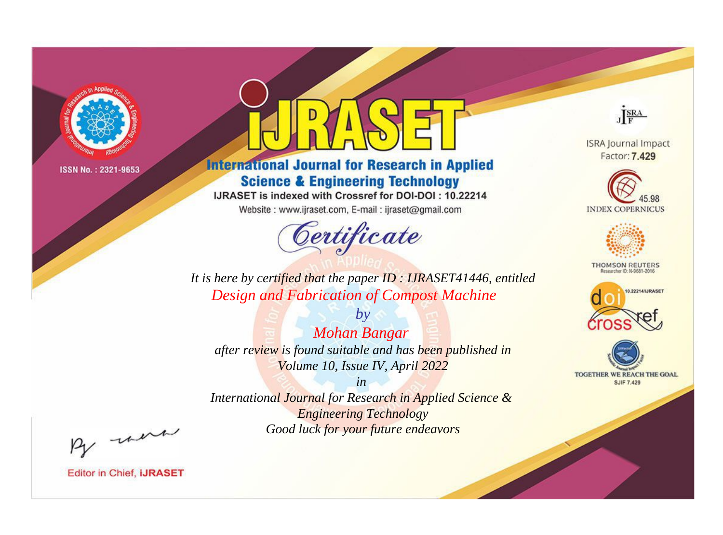

# **International Journal for Research in Applied Science & Engineering Technology**

IJRASET is indexed with Crossref for DOI-DOI: 10.22214

Website: www.ijraset.com, E-mail: ijraset@gmail.com



JERA

**ISRA Journal Impact** Factor: 7.429





**THOMSON REUTERS** 



TOGETHER WE REACH THE GOAL **SJIF 7.429** 

It is here by certified that the paper ID: IJRASET41446, entitled **Design and Fabrication of Compost Machine** 

**Mohan Bangar** after review is found suitable and has been published in Volume 10, Issue IV, April 2022

 $b\nu$ 

 $in$ International Journal for Research in Applied Science & **Engineering Technology** Good luck for your future endeavors

By morn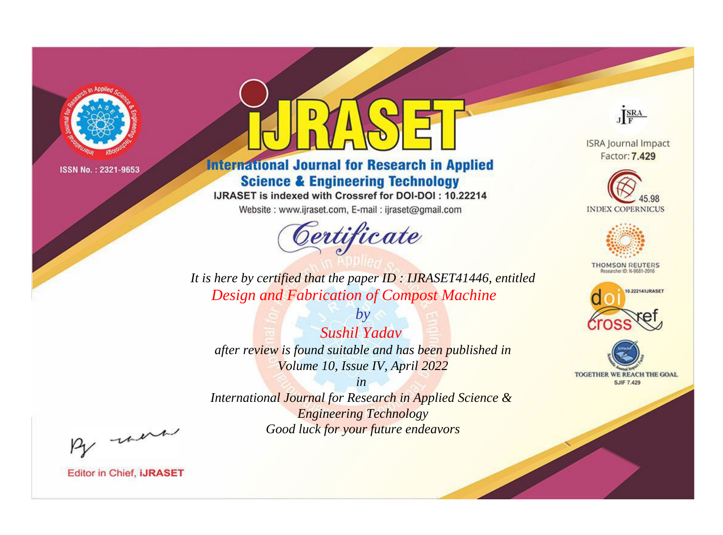

# **International Journal for Research in Applied Science & Engineering Technology**

IJRASET is indexed with Crossref for DOI-DOI: 10.22214

Website: www.ijraset.com, E-mail: ijraset@gmail.com



JERA

**ISRA Journal Impact** Factor: 7.429





**THOMSON REUTERS** 



TOGETHER WE REACH THE GOAL **SJIF 7.429** 

It is here by certified that the paper ID: IJRASET41446, entitled **Design and Fabrication of Compost Machine** 

Sushil Yadav after review is found suitable and has been published in Volume 10, Issue IV, April 2022

 $b\nu$ 

 $in$ International Journal for Research in Applied Science & **Engineering Technology** 

Good luck for your future endeavors

By morn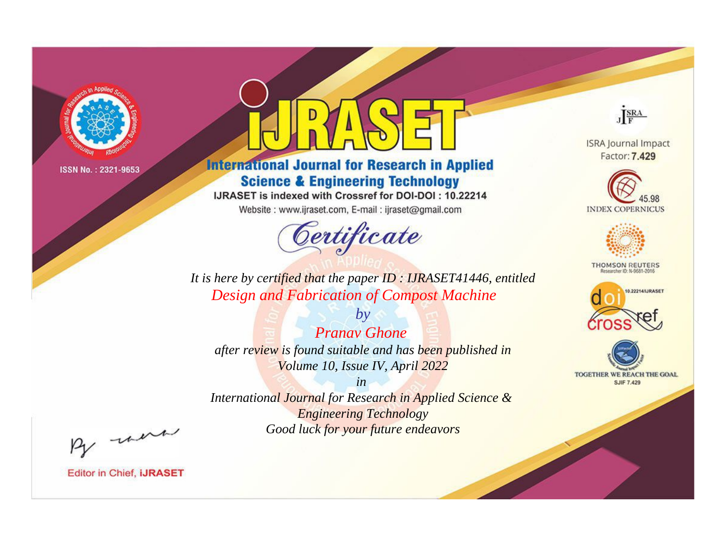

# **International Journal for Research in Applied Science & Engineering Technology**

IJRASET is indexed with Crossref for DOI-DOI: 10.22214

Website: www.ijraset.com, E-mail: ijraset@gmail.com



JERA

**ISRA Journal Impact** Factor: 7.429





**THOMSON REUTERS** 



TOGETHER WE REACH THE GOAL **SJIF 7.429** 

It is here by certified that the paper ID: IJRASET41446, entitled **Design and Fabrication of Compost Machine** 

**Pranav Ghone** after review is found suitable and has been published in Volume 10, Issue IV, April 2022

 $b\nu$ 

 $in$ International Journal for Research in Applied Science & **Engineering Technology** Good luck for your future endeavors

By morn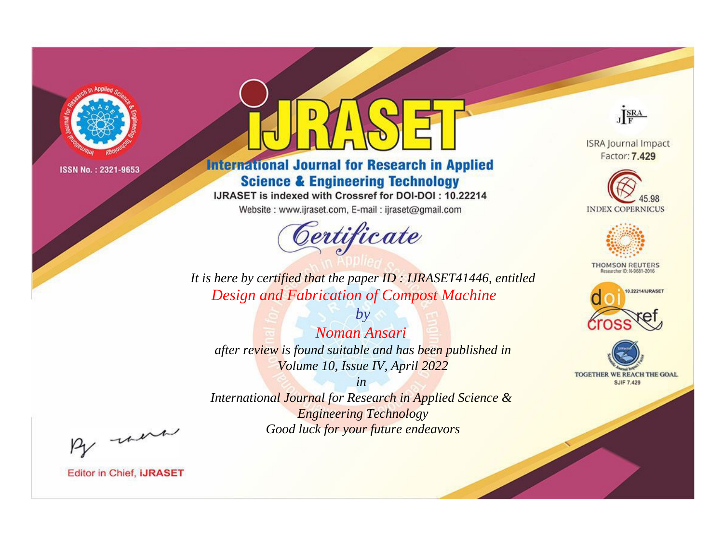

# **International Journal for Research in Applied Science & Engineering Technology**

IJRASET is indexed with Crossref for DOI-DOI: 10.22214

Website: www.ijraset.com, E-mail: ijraset@gmail.com



JERA

**ISRA Journal Impact** Factor: 7.429





**THOMSON REUTERS** 



TOGETHER WE REACH THE GOAL **SJIF 7.429** 

It is here by certified that the paper ID: IJRASET41446, entitled **Design and Fabrication of Compost Machine** 

Noman Ansari after review is found suitable and has been published in Volume 10, Issue IV, April 2022

 $b\nu$ 

 $in$ International Journal for Research in Applied Science & **Engineering Technology** Good luck for your future endeavors

By morn